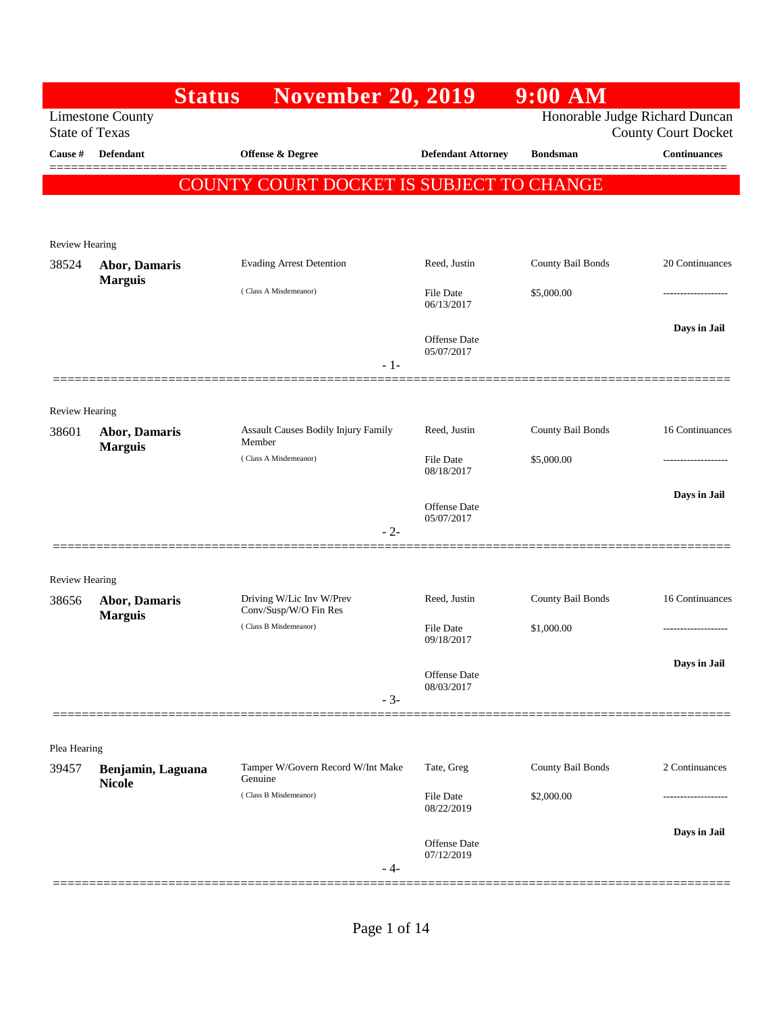|                       | <b>Status</b>                      | <b>November 20, 2019</b>                          |                                   | $9:00$ AM         |                                                              |
|-----------------------|------------------------------------|---------------------------------------------------|-----------------------------------|-------------------|--------------------------------------------------------------|
| <b>State of Texas</b> | <b>Limestone County</b>            |                                                   |                                   |                   | Honorable Judge Richard Duncan<br><b>County Court Docket</b> |
| Cause #               | <b>Defendant</b>                   | Offense & Degree                                  | <b>Defendant Attorney</b>         | <b>Bondsman</b>   | <b>Continuances</b>                                          |
|                       |                                    | COUNTY COURT DOCKET IS SUBJECT TO CHANGE          |                                   |                   |                                                              |
|                       |                                    |                                                   |                                   |                   |                                                              |
| <b>Review Hearing</b> |                                    |                                                   |                                   |                   |                                                              |
| 38524                 | <b>Abor, Damaris</b>               | <b>Evading Arrest Detention</b>                   | Reed, Justin                      | County Bail Bonds | 20 Continuances                                              |
|                       | <b>Marguis</b>                     | (Class A Misdemeanor)                             | <b>File Date</b><br>06/13/2017    | \$5,000.00        | -------------                                                |
|                       |                                    |                                                   | <b>Offense Date</b><br>05/07/2017 |                   | Days in Jail                                                 |
|                       |                                    | $-1-$                                             |                                   |                   |                                                              |
| Review Hearing        |                                    |                                                   |                                   |                   |                                                              |
| 38601                 | Abor, Damaris<br><b>Marguis</b>    | Assault Causes Bodily Injury Family<br>Member     | Reed, Justin                      | County Bail Bonds | 16 Continuances                                              |
|                       |                                    | (Class A Misdemeanor)                             | <b>File Date</b><br>08/18/2017    | \$5,000.00        | .                                                            |
|                       |                                    |                                                   | <b>Offense Date</b>               |                   | Days in Jail                                                 |
|                       |                                    | $-2-$                                             | 05/07/2017                        |                   |                                                              |
| <b>Review Hearing</b> |                                    |                                                   |                                   |                   |                                                              |
| 38656                 | Abor, Damaris<br><b>Marguis</b>    | Driving W/Lic Inv W/Prev<br>Conv/Susp/W/O Fin Res | Reed, Justin                      | County Bail Bonds | 16 Continuances                                              |
|                       |                                    | (Class B Misdemeanor)                             | <b>File Date</b><br>09/18/2017    | \$1,000.00        | ----------------                                             |
|                       |                                    |                                                   | Offense Date<br>08/03/2017        |                   | Days in Jail                                                 |
|                       |                                    | $-3-$                                             |                                   |                   |                                                              |
| Plea Hearing          |                                    |                                                   |                                   |                   |                                                              |
| 39457                 | Benjamin, Laguana<br><b>Nicole</b> | Tamper W/Govern Record W/Int Make<br>Genuine      | Tate, Greg                        | County Bail Bonds | 2 Continuances                                               |
|                       |                                    | (Class B Misdemeanor)                             | File Date<br>08/22/2019           | \$2,000.00        |                                                              |
|                       |                                    | $-4-$                                             | <b>Offense Date</b><br>07/12/2019 |                   | Days in Jail                                                 |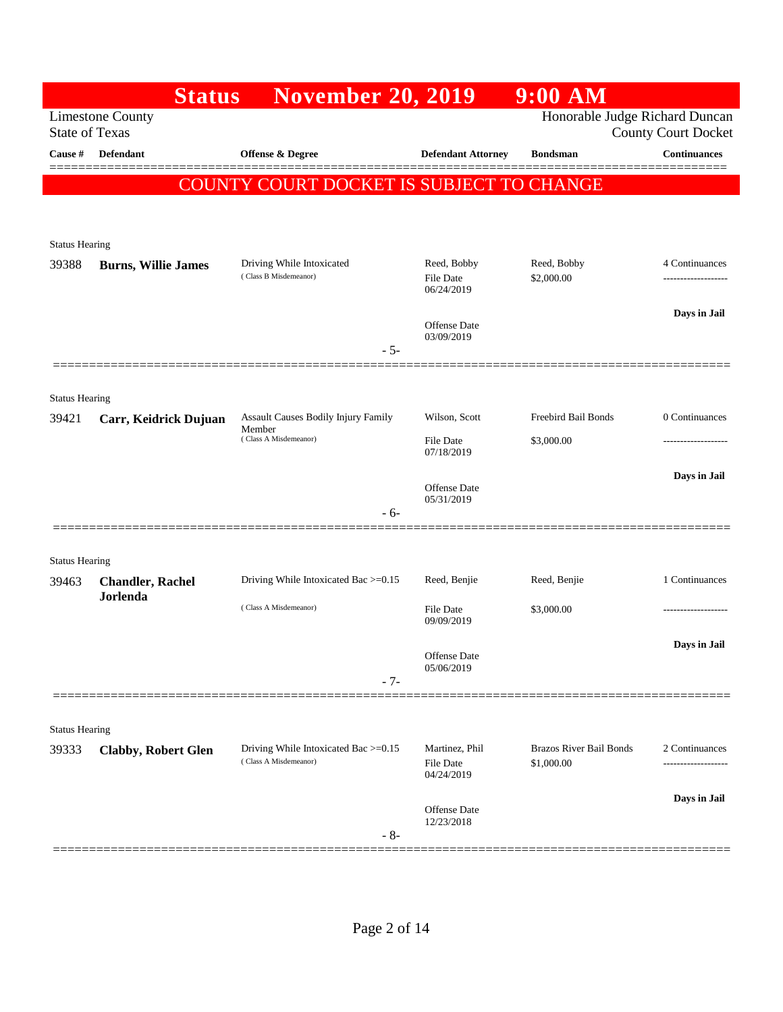|                       | <b>Status</b>                                    | <b>November 20, 2019</b>                                      |                                           | $9:00$ AM                                    |                            |
|-----------------------|--------------------------------------------------|---------------------------------------------------------------|-------------------------------------------|----------------------------------------------|----------------------------|
|                       | <b>Limestone County</b><br><b>State of Texas</b> |                                                               |                                           | Honorable Judge Richard Duncan               | <b>County Court Docket</b> |
| Cause #               | Defendant                                        | Offense & Degree                                              | <b>Defendant Attorney</b>                 | <b>Bondsman</b>                              | <b>Continuances</b>        |
|                       |                                                  | COUNTY COURT DOCKET IS SUBJECT TO CHANGE                      |                                           |                                              | ======                     |
|                       |                                                  |                                                               |                                           |                                              |                            |
| <b>Status Hearing</b> |                                                  |                                                               |                                           |                                              |                            |
| 39388                 | <b>Burns, Willie James</b>                       | Driving While Intoxicated<br>(Class B Misdemeanor)            | Reed, Bobby                               | Reed, Bobby                                  | 4 Continuances             |
|                       |                                                  |                                                               | <b>File Date</b><br>06/24/2019            | \$2,000.00                                   | -----------------          |
|                       |                                                  |                                                               | <b>Offense Date</b>                       |                                              | Days in Jail               |
|                       |                                                  | - 5-                                                          | 03/09/2019                                |                                              |                            |
|                       |                                                  |                                                               |                                           |                                              |                            |
| <b>Status Hearing</b> |                                                  |                                                               |                                           |                                              |                            |
| 39421                 | Carr, Keidrick Dujuan                            | Assault Causes Bodily Injury Family<br>Member                 | Wilson, Scott                             | Freebird Bail Bonds                          | 0 Continuances             |
|                       |                                                  | (Class A Misdemeanor)                                         | <b>File Date</b><br>07/18/2019            | \$3,000.00                                   |                            |
|                       |                                                  |                                                               | Offense Date                              |                                              | Days in Jail               |
|                       |                                                  | $-6-$                                                         | 05/31/2019                                |                                              |                            |
|                       |                                                  |                                                               |                                           |                                              |                            |
| <b>Status Hearing</b> |                                                  |                                                               |                                           |                                              |                            |
| 39463                 | <b>Chandler, Rachel</b><br>Jorlenda              | Driving While Intoxicated Bac >=0.15                          | Reed, Benjie                              | Reed, Benjie                                 | 1 Continuances             |
|                       |                                                  | (Class A Misdemeanor)                                         | File Date<br>09/09/2019                   | \$3,000.00                                   |                            |
|                       |                                                  |                                                               |                                           |                                              | Days in Jail               |
|                       |                                                  |                                                               | Offense Date<br>05/06/2019                |                                              |                            |
|                       |                                                  | $-7-$                                                         |                                           |                                              |                            |
| <b>Status Hearing</b> |                                                  |                                                               |                                           |                                              |                            |
| 39333                 | <b>Clabby, Robert Glen</b>                       | Driving While Intoxicated Bac >=0.15<br>(Class A Misdemeanor) | Martinez, Phil<br>File Date<br>04/24/2019 | <b>Brazos River Bail Bonds</b><br>\$1,000.00 | 2 Continuances             |
|                       |                                                  |                                                               |                                           |                                              | Days in Jail               |
|                       |                                                  | $-8-$                                                         | Offense Date<br>12/23/2018                |                                              |                            |
|                       |                                                  |                                                               |                                           |                                              |                            |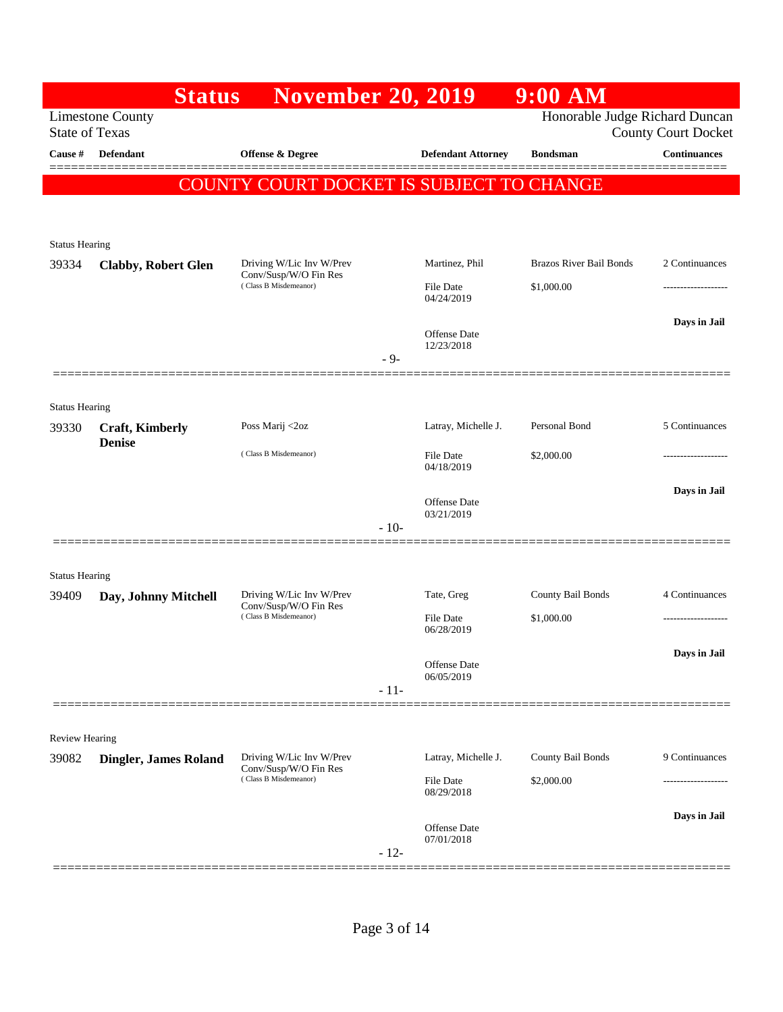|                       | <b>Status</b>                | <b>November 20, 2019</b>                          |        |                                   | 9:00 AM                        |                                 |
|-----------------------|------------------------------|---------------------------------------------------|--------|-----------------------------------|--------------------------------|---------------------------------|
| <b>State of Texas</b> | <b>Limestone County</b>      |                                                   |        |                                   | Honorable Judge Richard Duncan | <b>County Court Docket</b>      |
| Cause #               | <b>Defendant</b>             | <b>Offense &amp; Degree</b>                       |        | <b>Defendant Attorney</b>         | <b>Bondsman</b>                | <b>Continuances</b><br>======== |
|                       | <b>COUNT</b>                 | Y COURT DOCKET IS SUBJECT TO CHANGE               |        |                                   |                                |                                 |
|                       |                              |                                                   |        |                                   |                                |                                 |
| <b>Status Hearing</b> |                              |                                                   |        |                                   |                                |                                 |
| 39334                 | <b>Clabby, Robert Glen</b>   | Driving W/Lic Inv W/Prev<br>Conv/Susp/W/O Fin Res |        | Martinez, Phil                    | Brazos River Bail Bonds        | 2 Continuances                  |
|                       |                              | (Class B Misdemeanor)                             |        | <b>File Date</b><br>04/24/2019    | \$1,000.00                     |                                 |
|                       |                              |                                                   |        |                                   |                                | Days in Jail                    |
|                       |                              |                                                   | $-9-$  | <b>Offense Date</b><br>12/23/2018 |                                |                                 |
|                       |                              |                                                   |        |                                   |                                |                                 |
| <b>Status Hearing</b> |                              |                                                   |        |                                   |                                |                                 |
| 39330                 | <b>Craft, Kimberly</b>       | Poss Marij <2oz                                   |        | Latray, Michelle J.               | Personal Bond                  | 5 Continuances                  |
|                       | <b>Denise</b>                | (Class B Misdemeanor)                             |        | File Date<br>04/18/2019           | \$2,000.00                     |                                 |
|                       |                              |                                                   |        |                                   |                                | Days in Jail                    |
|                       |                              |                                                   |        | <b>Offense Date</b><br>03/21/2019 |                                |                                 |
|                       |                              |                                                   | $-10-$ |                                   |                                |                                 |
| <b>Status Hearing</b> |                              |                                                   |        |                                   |                                |                                 |
| 39409                 | Day, Johnny Mitchell         | Driving W/Lic Inv W/Prev                          |        | Tate, Greg                        | County Bail Bonds              | 4 Continuances                  |
|                       |                              | Conv/Susp/W/O Fin Res<br>(Class B Misdemeanor)    |        | <b>File Date</b><br>06/28/2019    | \$1,000.00                     |                                 |
|                       |                              |                                                   |        |                                   |                                | Days in Jail                    |
|                       |                              |                                                   |        | Offense Date<br>06/05/2019        |                                |                                 |
|                       |                              |                                                   | $-11-$ |                                   |                                |                                 |
| <b>Review Hearing</b> |                              |                                                   |        |                                   |                                |                                 |
| 39082                 | <b>Dingler, James Roland</b> | Driving W/Lic Inv W/Prev                          |        | Latray, Michelle J.               | County Bail Bonds              | 9 Continuances                  |
|                       |                              | Conv/Susp/W/O Fin Res<br>(Class B Misdemeanor)    |        | <b>File Date</b><br>08/29/2018    | \$2,000.00                     |                                 |
|                       |                              |                                                   |        |                                   |                                | Days in Jail                    |
|                       |                              |                                                   |        | Offense Date<br>07/01/2018        |                                |                                 |
|                       |                              |                                                   | $-12-$ |                                   |                                |                                 |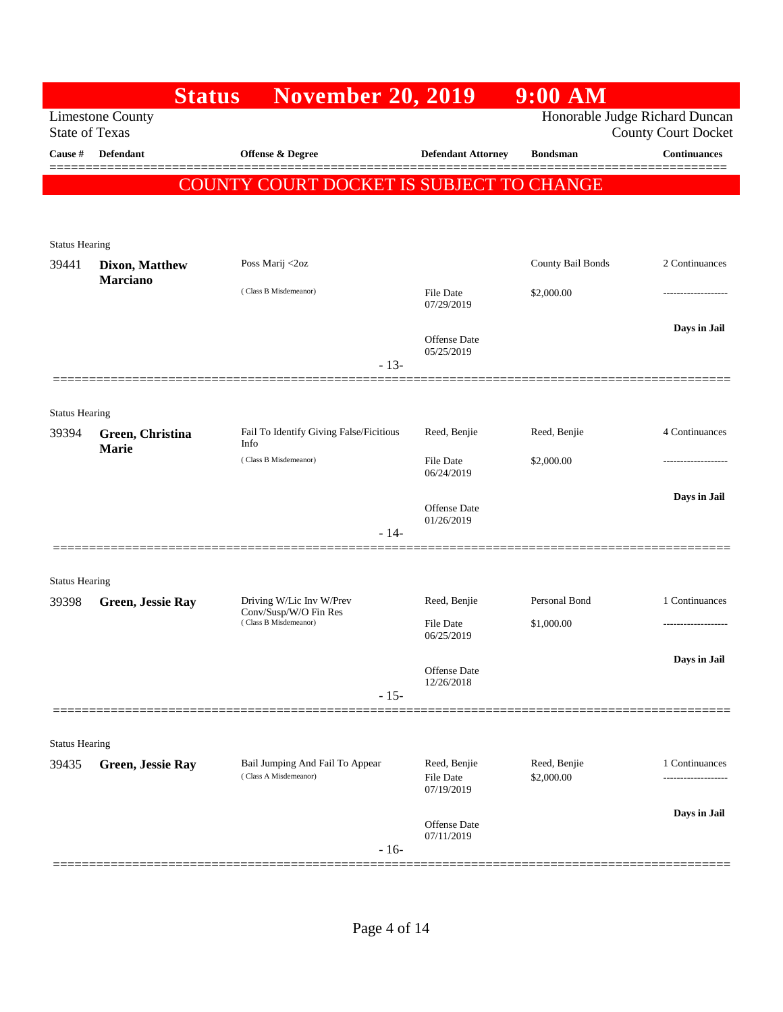|                                | <b>Status</b>            | <b>November 20, 2019</b>                                 |                                                | $9:00$ AM                      |                            |
|--------------------------------|--------------------------|----------------------------------------------------------|------------------------------------------------|--------------------------------|----------------------------|
| <b>State of Texas</b>          | <b>Limestone County</b>  |                                                          |                                                | Honorable Judge Richard Duncan | <b>County Court Docket</b> |
| Cause #                        | <b>Defendant</b>         | Offense & Degree                                         | <b>Defendant Attorney</b>                      | <b>Bondsman</b>                | <b>Continuances</b>        |
|                                |                          | COUNTY COURT DOCKET IS SUBJECT TO CHANGE                 |                                                |                                |                            |
|                                |                          |                                                          |                                                |                                |                            |
| <b>Status Hearing</b><br>39441 | <b>Dixon, Matthew</b>    | Poss Marij <2oz                                          |                                                | County Bail Bonds              | 2 Continuances             |
|                                | <b>Marciano</b>          |                                                          |                                                |                                |                            |
|                                |                          | (Class B Misdemeanor)                                    | <b>File Date</b><br>07/29/2019                 | \$2,000.00                     | -------------------        |
|                                |                          |                                                          | <b>Offense</b> Date                            |                                | Days in Jail               |
|                                |                          | $-13-$                                                   | 05/25/2019                                     |                                |                            |
|                                | =============            |                                                          |                                                |                                |                            |
| <b>Status Hearing</b>          |                          |                                                          |                                                |                                |                            |
| 39394                          | Green, Christina         | Fail To Identify Giving False/Ficitious                  | Reed, Benjie                                   | Reed, Benjie                   | 4 Continuances             |
|                                | <b>Marie</b>             | Info<br>(Class B Misdemeanor)                            | <b>File Date</b>                               | \$2,000.00                     |                            |
|                                |                          |                                                          | 06/24/2019                                     |                                |                            |
|                                |                          |                                                          | Offense Date                                   |                                | Days in Jail               |
|                                |                          | $-14-$                                                   | 01/26/2019                                     |                                |                            |
|                                |                          |                                                          |                                                |                                |                            |
| <b>Status Hearing</b>          |                          |                                                          |                                                |                                |                            |
| 39398                          | <b>Green, Jessie Ray</b> | Driving W/Lic Inv W/Prev<br>Conv/Susp/W/O Fin Res        | Reed, Benjie                                   | Personal Bond                  | 1 Continuances             |
|                                |                          | (Class B Misdemeanor)                                    | <b>File Date</b><br>06/25/2019                 | \$1,000.00                     | -------------------        |
|                                |                          |                                                          |                                                |                                | Days in Jail               |
|                                |                          |                                                          | Offense Date<br>12/26/2018                     |                                |                            |
|                                |                          | $-15-$                                                   |                                                |                                |                            |
|                                |                          |                                                          |                                                |                                |                            |
| <b>Status Hearing</b>          |                          |                                                          |                                                |                                | 1 Continuances             |
| 39435                          | <b>Green, Jessie Ray</b> | Bail Jumping And Fail To Appear<br>(Class A Misdemeanor) | Reed, Benjie<br><b>File Date</b><br>07/19/2019 | Reed, Benjie<br>\$2,000.00     | -------------------        |
|                                |                          |                                                          |                                                |                                | Days in Jail               |
|                                |                          | $-16-$                                                   | Offense Date<br>07/11/2019                     |                                |                            |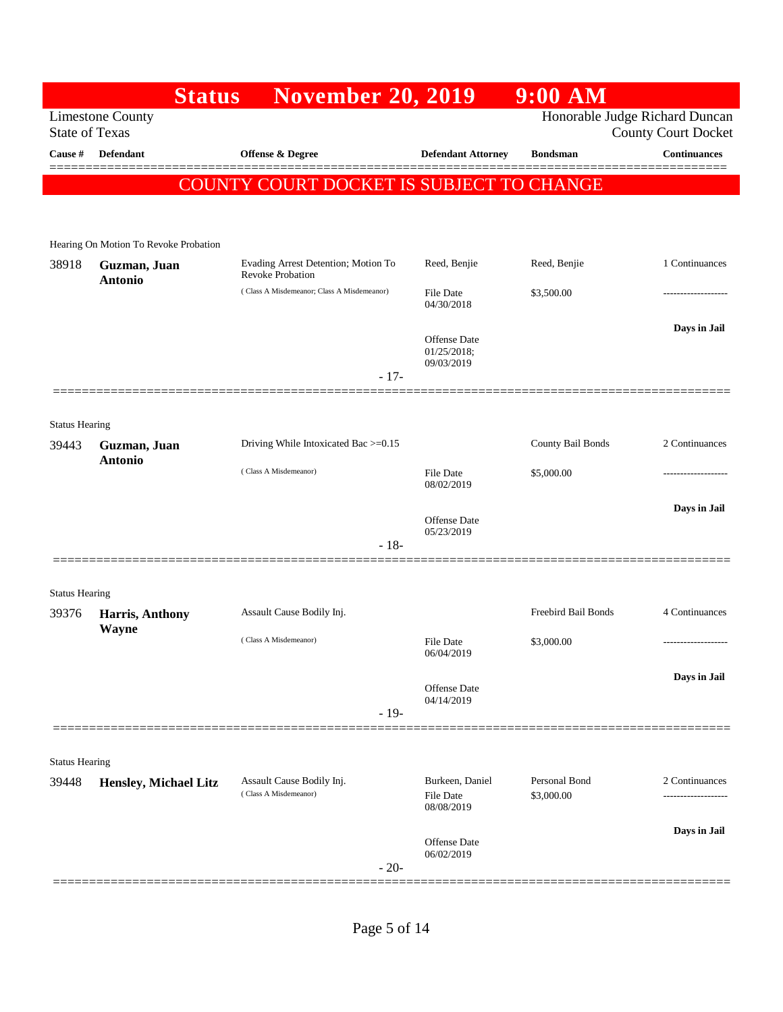|                                | <b>Status</b>                         | <b>November 20, 2019</b>                                       |                                                 | $9:00$ AM                   |                                                              |
|--------------------------------|---------------------------------------|----------------------------------------------------------------|-------------------------------------------------|-----------------------------|--------------------------------------------------------------|
| <b>State of Texas</b>          | <b>Limestone County</b>               |                                                                |                                                 |                             | Honorable Judge Richard Duncan<br><b>County Court Docket</b> |
| Cause #                        | <b>Defendant</b>                      | <b>Offense &amp; Degree</b>                                    | <b>Defendant Attorney</b>                       | <b>Bondsman</b>             | <b>Continuances</b>                                          |
|                                |                                       | COUNTY COURT DOCKET IS SUBJECT TO CHANGE                       |                                                 |                             |                                                              |
|                                |                                       |                                                                |                                                 |                             |                                                              |
|                                | Hearing On Motion To Revoke Probation |                                                                |                                                 |                             |                                                              |
| 38918                          | Guzman, Juan<br><b>Antonio</b>        | Evading Arrest Detention; Motion To<br><b>Revoke Probation</b> | Reed, Benjie                                    | Reed, Benjie                | 1 Continuances                                               |
|                                |                                       | (Class A Misdemeanor; Class A Misdemeanor)                     | <b>File Date</b><br>04/30/2018                  | \$3,500.00                  | -------------                                                |
|                                |                                       |                                                                | Offense Date<br>$01/25/2018$ ;<br>09/03/2019    |                             | Days in Jail                                                 |
|                                |                                       | $-17-$                                                         |                                                 |                             |                                                              |
|                                |                                       |                                                                |                                                 |                             |                                                              |
| <b>Status Hearing</b><br>39443 | Guzman, Juan                          | Driving While Intoxicated Bac >=0.15                           |                                                 | County Bail Bonds           | 2 Continuances                                               |
|                                | <b>Antonio</b>                        | (Class A Misdemeanor)                                          | <b>File Date</b><br>08/02/2019                  | \$5,000.00                  |                                                              |
|                                |                                       | $-18-$                                                         | <b>Offense</b> Date<br>05/23/2019               |                             | Days in Jail                                                 |
|                                |                                       |                                                                |                                                 |                             |                                                              |
| <b>Status Hearing</b>          |                                       |                                                                |                                                 |                             |                                                              |
| 39376                          | Harris, Anthony                       | Assault Cause Bodily Inj.                                      |                                                 | Freebird Bail Bonds         | 4 Continuances                                               |
|                                | Wayne                                 | (Class A Misdemeanor)                                          | <b>File Date</b><br>06/04/2019                  | \$3,000.00                  | -------------------                                          |
|                                |                                       |                                                                | <b>Offense Date</b><br>04/14/2019               |                             | Days in Jail                                                 |
|                                |                                       | $-19-$                                                         |                                                 |                             |                                                              |
| <b>Status Hearing</b>          |                                       |                                                                |                                                 |                             |                                                              |
| 39448                          | Hensley, Michael Litz                 | Assault Cause Bodily Inj.<br>(Class A Misdemeanor)             | Burkeen, Daniel<br>File Date                    | Personal Bond<br>\$3,000.00 | 2 Continuances                                               |
|                                |                                       |                                                                | 08/08/2019<br><b>Offense</b> Date<br>06/02/2019 |                             | Days in Jail                                                 |
|                                |                                       | $-20-$                                                         |                                                 |                             |                                                              |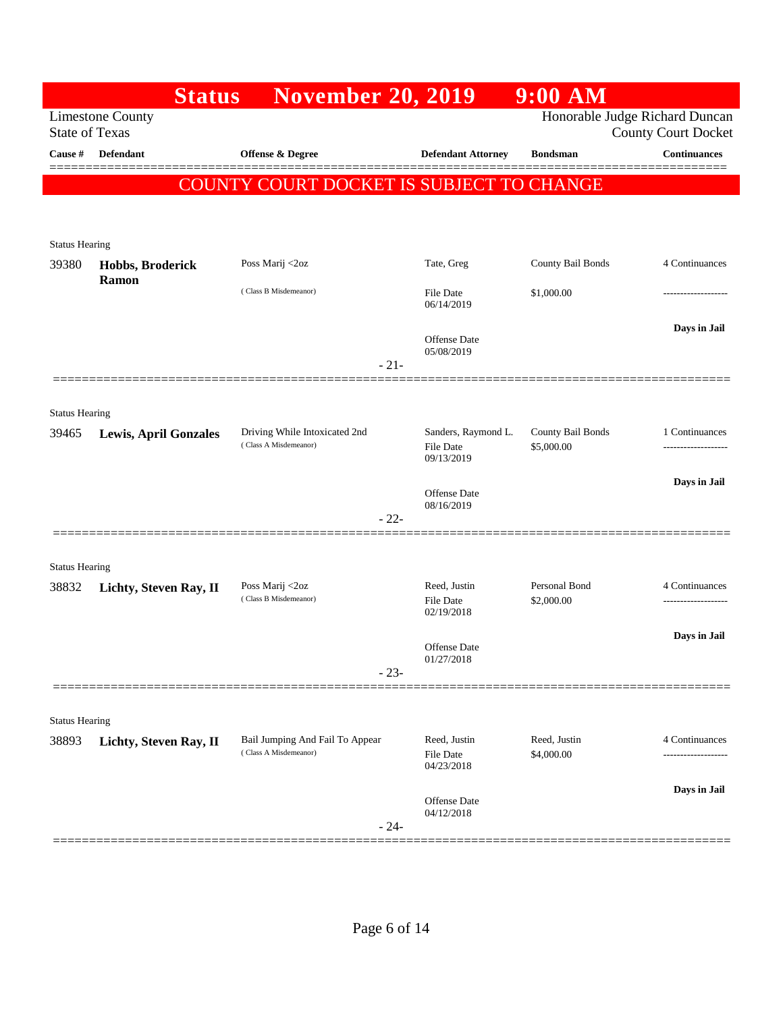|                                | <b>Status</b>                | <b>November 20, 2019</b>                                 |                                                       | $9:00$ AM                       |                                                              |
|--------------------------------|------------------------------|----------------------------------------------------------|-------------------------------------------------------|---------------------------------|--------------------------------------------------------------|
| <b>State of Texas</b>          | <b>Limestone County</b>      |                                                          |                                                       |                                 | Honorable Judge Richard Duncan<br><b>County Court Docket</b> |
| Cause #                        | <b>Defendant</b>             | <b>Offense &amp; Degree</b>                              | <b>Defendant Attorney</b>                             | <b>Bondsman</b>                 | <b>Continuances</b><br>______                                |
|                                | <b>COUNT</b>                 | 'Y COURT DOCKET IS SUBJECT TO CHANGE                     |                                                       |                                 |                                                              |
|                                |                              |                                                          |                                                       |                                 |                                                              |
| <b>Status Hearing</b>          |                              |                                                          |                                                       |                                 |                                                              |
| 39380                          | Hobbs, Broderick             | Poss Marij <2oz                                          | Tate, Greg                                            | County Bail Bonds               | 4 Continuances                                               |
|                                | Ramon                        | (Class B Misdemeanor)                                    | File Date<br>06/14/2019                               | \$1,000.00                      |                                                              |
|                                |                              |                                                          | Offense Date<br>05/08/2019                            |                                 | Days in Jail                                                 |
|                                |                              | $-21-$                                                   |                                                       |                                 |                                                              |
| <b>Status Hearing</b>          |                              |                                                          |                                                       |                                 |                                                              |
| 39465                          | <b>Lewis, April Gonzales</b> | Driving While Intoxicated 2nd<br>(Class A Misdemeanor)   | Sanders, Raymond L.<br><b>File Date</b><br>09/13/2019 | County Bail Bonds<br>\$5,000.00 | 1 Continuances<br>.                                          |
|                                |                              |                                                          | <b>Offense</b> Date<br>08/16/2019                     |                                 | Days in Jail                                                 |
|                                |                              | $-22-$                                                   |                                                       |                                 |                                                              |
|                                |                              |                                                          |                                                       |                                 |                                                              |
| <b>Status Hearing</b><br>38832 | Lichty, Steven Ray, II       | Poss Marij <2oz                                          | Reed, Justin                                          | Personal Bond                   | 4 Continuances                                               |
|                                |                              | (Class B Misdemeanor)                                    | <b>File Date</b><br>02/19/2018                        | \$2,000.00                      | -------------------                                          |
|                                |                              |                                                          | <b>Offense Date</b>                                   |                                 | Days in Jail                                                 |
|                                |                              | $-23-$                                                   | 01/27/2018                                            |                                 |                                                              |
|                                |                              |                                                          |                                                       |                                 |                                                              |
| <b>Status Hearing</b>          |                              |                                                          |                                                       |                                 |                                                              |
| 38893                          | Lichty, Steven Ray, II       | Bail Jumping And Fail To Appear<br>(Class A Misdemeanor) | Reed, Justin<br><b>File Date</b><br>04/23/2018        | Reed, Justin<br>\$4,000.00      | 4 Continuances                                               |
|                                |                              | $-24-$                                                   | Offense Date<br>04/12/2018                            |                                 | Days in Jail                                                 |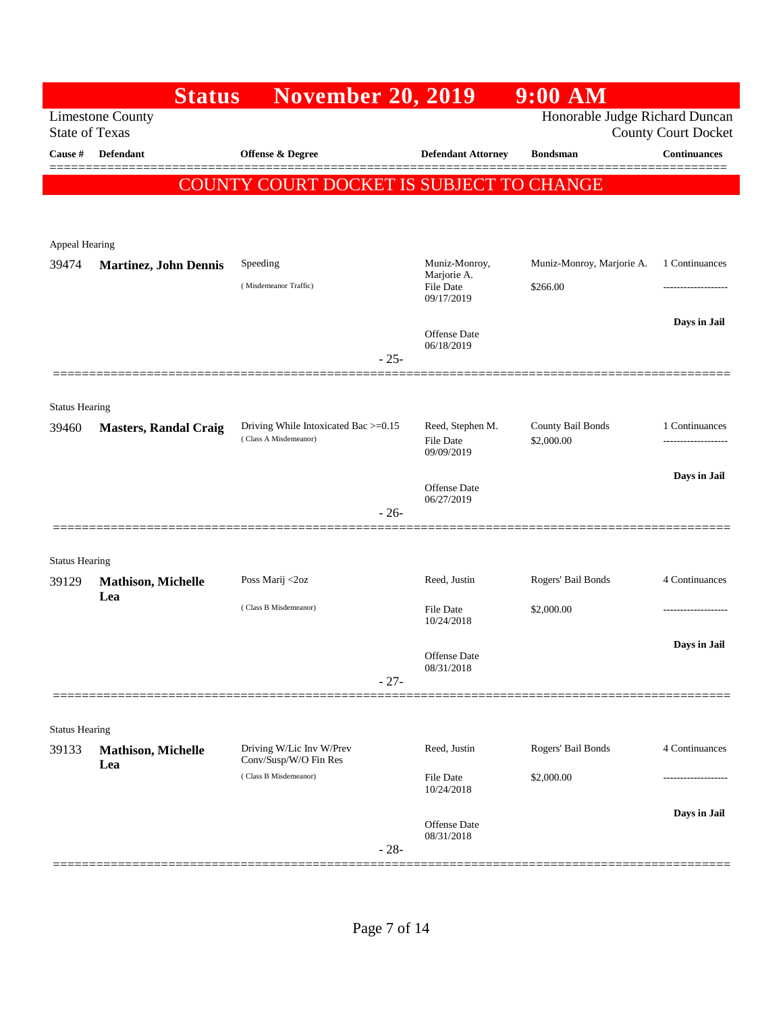|                       | <b>Status</b>                | <b>November 20, 2019</b>                                      |                               | $9:00$ AM                       |                            |
|-----------------------|------------------------------|---------------------------------------------------------------|-------------------------------|---------------------------------|----------------------------|
| <b>State of Texas</b> | <b>Limestone County</b>      |                                                               |                               | Honorable Judge Richard Duncan  | <b>County Court Docket</b> |
| Cause #               | <b>Defendant</b>             | Offense & Degree                                              | <b>Defendant Attorney</b>     | <b>Bondsman</b>                 | <b>Continuances</b>        |
|                       | COUNT                        | 'Y COURT DOCKET IS SUBJECT TO CHANGE                          |                               |                                 |                            |
|                       |                              |                                                               |                               |                                 |                            |
| Appeal Hearing        |                              |                                                               |                               |                                 |                            |
| 39474                 | <b>Martinez, John Dennis</b> | Speeding                                                      | Muniz-Monroy,<br>Marjorie A.  | Muniz-Monroy, Marjorie A.       | 1 Continuances             |
|                       |                              | (Misdemeanor Traffic)                                         | File Date<br>09/17/2019       | \$266.00                        |                            |
|                       |                              |                                                               | Offense Date                  |                                 | Days in Jail               |
|                       |                              | $-25-$                                                        | 06/18/2019                    |                                 |                            |
|                       |                              |                                                               |                               |                                 |                            |
| <b>Status Hearing</b> |                              |                                                               |                               |                                 |                            |
| 39460                 | <b>Masters, Randal Craig</b> | Driving While Intoxicated Bac >=0.15<br>(Class A Misdemeanor) | Reed, Stephen M.<br>File Date | County Bail Bonds<br>\$2,000.00 | 1 Continuances<br>.        |
|                       |                              |                                                               | 09/09/2019                    |                                 | Days in Jail               |
|                       |                              |                                                               | Offense Date<br>06/27/2019    |                                 |                            |
|                       |                              | $-26-$                                                        |                               |                                 |                            |
| <b>Status Hearing</b> |                              |                                                               |                               |                                 |                            |
| 39129                 | Mathison, Michelle           | Poss Marij <2oz                                               | Reed, Justin                  | Rogers' Bail Bonds              | 4 Continuances             |
|                       | Lea                          | (Class B Misdemeanor)                                         | <b>File Date</b>              | \$2,000.00                      | .                          |
|                       |                              |                                                               | 10/24/2018                    |                                 | Days in Jail               |
|                       |                              |                                                               | Offense Date<br>08/31/2018    |                                 |                            |
|                       |                              | $-27-$                                                        |                               |                                 |                            |
| <b>Status Hearing</b> |                              |                                                               |                               |                                 |                            |
| 39133                 | <b>Mathison, Michelle</b>    | Driving W/Lic Inv W/Prev<br>Conv/Susp/W/O Fin Res             | Reed, Justin                  | Rogers' Bail Bonds              | 4 Continuances             |
|                       | Lea                          | (Class B Misdemeanor)                                         | <b>File Date</b>              | \$2,000.00                      | ------------------         |
|                       |                              |                                                               | 10/24/2018                    |                                 | Days in Jail               |
|                       |                              |                                                               | Offense Date<br>08/31/2018    |                                 |                            |
|                       |                              | $-28-$                                                        |                               |                                 |                            |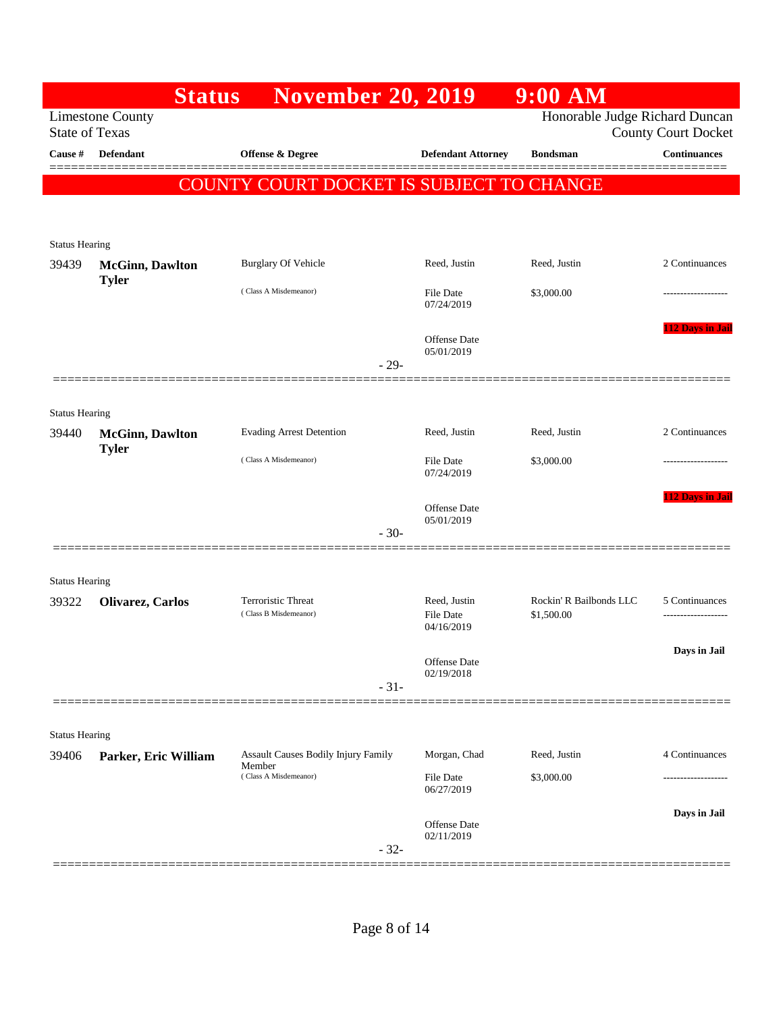|                       | <b>Status</b>           | <b>November 20, 2019</b>                      |                                         | $9:00$ AM                             |                            |
|-----------------------|-------------------------|-----------------------------------------------|-----------------------------------------|---------------------------------------|----------------------------|
| <b>State of Texas</b> | <b>Limestone County</b> |                                               |                                         | Honorable Judge Richard Duncan        | <b>County Court Docket</b> |
| Cause #               | <b>Defendant</b>        | Offense & Degree                              | <b>Defendant Attorney</b>               | <b>Bondsman</b>                       | <b>Continuances</b>        |
|                       |                         | COUNTY COURT DOCKET IS SUBJECT TO CHANGE      |                                         |                                       |                            |
|                       |                         |                                               |                                         |                                       |                            |
| <b>Status Hearing</b> |                         |                                               |                                         |                                       |                            |
| 39439                 | <b>McGinn</b> , Dawlton | <b>Burglary Of Vehicle</b>                    | Reed, Justin                            | Reed, Justin                          | 2 Continuances             |
|                       | <b>Tyler</b>            | (Class A Misdemeanor)                         | <b>File Date</b><br>07/24/2019          | \$3,000.00                            | -------------------        |
|                       |                         |                                               | <b>Offense</b> Date<br>05/01/2019       |                                       | <b>112 Days in Jail</b>    |
|                       |                         |                                               | $-29-$                                  |                                       |                            |
| <b>Status Hearing</b> |                         |                                               |                                         |                                       |                            |
| 39440                 | <b>McGinn</b> , Dawlton | <b>Evading Arrest Detention</b>               | Reed, Justin                            | Reed, Justin                          | 2 Continuances             |
|                       | <b>Tyler</b>            | (Class A Misdemeanor)                         | <b>File Date</b><br>07/24/2019          | \$3,000.00                            |                            |
|                       |                         |                                               | <b>Offense</b> Date<br>05/01/2019       |                                       | <b>112 Days in Jail</b>    |
|                       |                         |                                               | $-30-$                                  |                                       |                            |
| <b>Status Hearing</b> |                         |                                               |                                         |                                       |                            |
| 39322                 | Olivarez, Carlos        | Terroristic Threat<br>(Class B Misdemeanor)   | Reed, Justin<br>File Date<br>04/16/2019 | Rockin' R Bailbonds LLC<br>\$1,500.00 | 5 Continuances             |
|                       |                         |                                               |                                         |                                       | Days in Jail               |
|                       |                         |                                               | Offense Date<br>02/19/2018              |                                       |                            |
|                       |                         |                                               | $-31-$                                  |                                       |                            |
| <b>Status Hearing</b> |                         |                                               |                                         |                                       |                            |
| 39406                 | Parker, Eric William    | Assault Causes Bodily Injury Family<br>Member | Morgan, Chad                            | Reed, Justin                          | 4 Continuances             |
|                       |                         | (Class A Misdemeanor)                         | File Date<br>06/27/2019                 | \$3,000.00                            | -----------------          |
|                       |                         |                                               | Offense Date<br>02/11/2019<br>$-32-$    |                                       | Days in Jail               |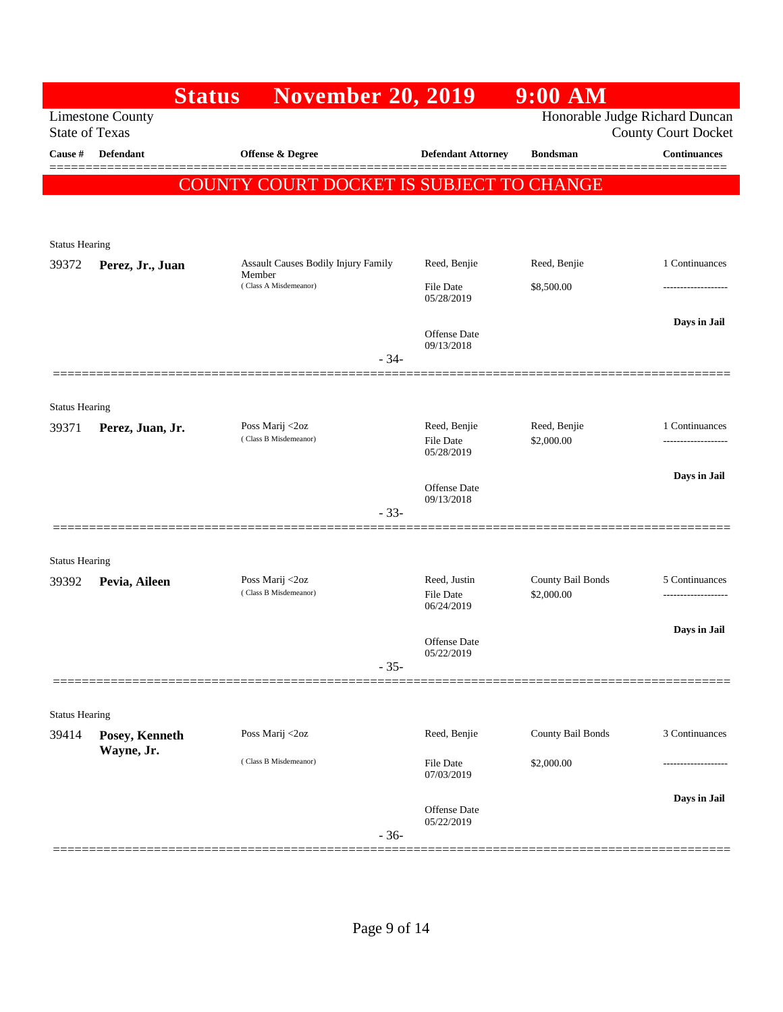|                       | <b>Status</b>           | <b>November 20, 2019</b>                 |                                         | $9:00$ AM                       |                                                              |
|-----------------------|-------------------------|------------------------------------------|-----------------------------------------|---------------------------------|--------------------------------------------------------------|
| <b>State of Texas</b> | <b>Limestone County</b> |                                          |                                         |                                 | Honorable Judge Richard Duncan<br><b>County Court Docket</b> |
| Cause #               | <b>Defendant</b>        | <b>Offense &amp; Degree</b>              | <b>Defendant Attorney</b>               | <b>Bondsman</b>                 | <b>Continuances</b>                                          |
|                       |                         | COUNTY COURT DOCKET IS SUBJECT TO CHANGE |                                         |                                 |                                                              |
|                       |                         |                                          |                                         |                                 |                                                              |
| <b>Status Hearing</b> |                         |                                          |                                         |                                 |                                                              |
| 39372                 | Perez, Jr., Juan        | Assault Causes Bodily Injury Family      | Reed, Benjie                            | Reed, Benjie                    | 1 Continuances                                               |
|                       |                         | Member<br>(Class A Misdemeanor)          | File Date<br>05/28/2019                 | \$8,500.00                      | .                                                            |
|                       |                         |                                          | Offense Date                            |                                 | Days in Jail                                                 |
|                       |                         | $-34-$                                   | 09/13/2018                              |                                 |                                                              |
|                       |                         |                                          |                                         |                                 |                                                              |
| <b>Status Hearing</b> |                         |                                          |                                         |                                 |                                                              |
| 39371                 | Perez, Juan, Jr.        | Poss Marij <2oz<br>(Class B Misdemeanor) | Reed, Benjie<br>File Date<br>05/28/2019 | Reed, Benjie<br>\$2,000.00      | 1 Continuances                                               |
|                       |                         |                                          | Offense Date                            |                                 | Days in Jail                                                 |
|                       |                         | $-33-$                                   | 09/13/2018                              |                                 |                                                              |
|                       |                         |                                          |                                         |                                 |                                                              |
| <b>Status Hearing</b> |                         |                                          |                                         |                                 |                                                              |
| 39392                 | Pevia, Aileen           | Poss Marij <2oz<br>(Class B Misdemeanor) | Reed, Justin<br><b>File Date</b>        | County Bail Bonds<br>\$2,000.00 | 5 Continuances                                               |
|                       |                         |                                          | 06/24/2019                              |                                 |                                                              |
|                       |                         |                                          | <b>Offense Date</b>                     |                                 | Days in Jail                                                 |
|                       |                         | $-35-$                                   | 05/22/2019                              |                                 |                                                              |
|                       |                         |                                          |                                         |                                 |                                                              |
| <b>Status Hearing</b> |                         |                                          |                                         |                                 |                                                              |
| 39414                 | Posey, Kenneth          | Poss Marij <2oz                          | Reed, Benjie                            | County Bail Bonds               | 3 Continuances                                               |
|                       | Wayne, Jr.              | (Class B Misdemeanor)                    | File Date<br>07/03/2019                 | \$2,000.00                      | .                                                            |
|                       |                         |                                          |                                         |                                 | Days in Jail                                                 |
|                       |                         | $-36-$                                   | Offense Date<br>05/22/2019              |                                 |                                                              |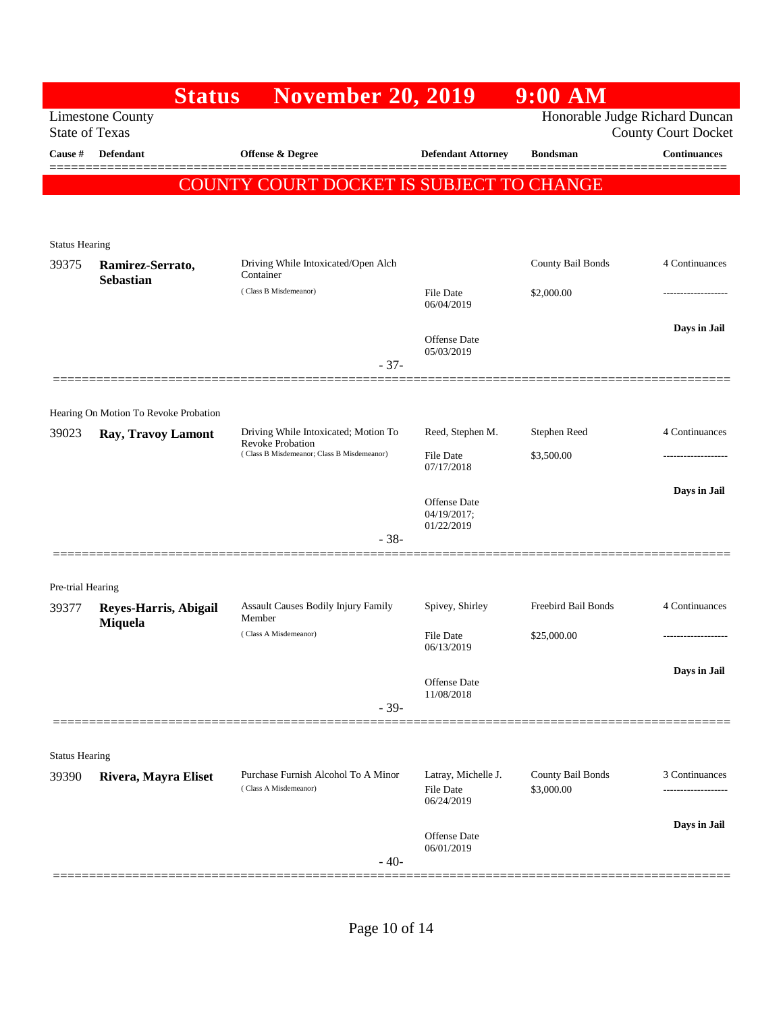|                       | <b>Status</b>                         | <b>November 20, 2019</b>                                        |                                                       | $9:00$ AM                       |                                                              |
|-----------------------|---------------------------------------|-----------------------------------------------------------------|-------------------------------------------------------|---------------------------------|--------------------------------------------------------------|
| <b>State of Texas</b> | <b>Limestone County</b>               |                                                                 |                                                       |                                 | Honorable Judge Richard Duncan<br><b>County Court Docket</b> |
| Cause #               | Defendant                             | <b>Offense &amp; Degree</b>                                     | <b>Defendant Attorney</b>                             | <b>Bondsman</b>                 | <b>Continuances</b><br>========                              |
|                       |                                       | COUNTY COURT DOCKET IS SUBJECT TO CHANGE                        |                                                       |                                 |                                                              |
|                       |                                       |                                                                 |                                                       |                                 |                                                              |
| <b>Status Hearing</b> |                                       |                                                                 |                                                       |                                 |                                                              |
| 39375                 | Ramirez-Serrato,<br><b>Sebastian</b>  | Driving While Intoxicated/Open Alch<br>Container                |                                                       | County Bail Bonds               | 4 Continuances                                               |
|                       |                                       | (Class B Misdemeanor)                                           | <b>File Date</b><br>06/04/2019                        | \$2,000.00                      | --------------                                               |
|                       |                                       |                                                                 | Offense Date                                          |                                 | Days in Jail                                                 |
|                       |                                       | $-37-$                                                          | 05/03/2019                                            |                                 |                                                              |
|                       |                                       |                                                                 |                                                       |                                 |                                                              |
|                       | Hearing On Motion To Revoke Probation |                                                                 |                                                       |                                 |                                                              |
| 39023                 | Ray, Travoy Lamont                    | Driving While Intoxicated; Motion To<br><b>Revoke Probation</b> | Reed, Stephen M.                                      | Stephen Reed                    | 4 Continuances                                               |
|                       |                                       | (Class B Misdemeanor; Class B Misdemeanor)                      | File Date<br>07/17/2018                               | \$3,500.00                      |                                                              |
|                       |                                       |                                                                 | Offense Date<br>04/19/2017;<br>01/22/2019             |                                 | Days in Jail                                                 |
|                       |                                       | $-38-$                                                          |                                                       |                                 |                                                              |
|                       |                                       |                                                                 |                                                       |                                 |                                                              |
| Pre-trial Hearing     |                                       | Assault Causes Bodily Injury Family                             | Spivey, Shirley                                       | Freebird Bail Bonds             | 4 Continuances                                               |
| 39377                 | Reyes-Harris, Abigail<br>Miquela      | Member                                                          |                                                       |                                 |                                                              |
|                       |                                       | (Class A Misdemeanor)                                           | <b>File Date</b><br>06/13/2019                        | \$25,000.00                     | .                                                            |
|                       |                                       |                                                                 | Offense Date                                          |                                 | Days in Jail                                                 |
|                       |                                       | $-39-$                                                          | 11/08/2018                                            |                                 |                                                              |
|                       |                                       |                                                                 |                                                       |                                 |                                                              |
| <b>Status Hearing</b> |                                       |                                                                 |                                                       |                                 |                                                              |
| 39390                 | Rivera, Mayra Eliset                  | Purchase Furnish Alcohol To A Minor<br>(Class A Misdemeanor)    | Latray, Michelle J.<br><b>File Date</b><br>06/24/2019 | County Bail Bonds<br>\$3,000.00 | 3 Continuances<br>-----------------                          |
|                       |                                       |                                                                 |                                                       |                                 | Days in Jail                                                 |
|                       |                                       | $-40-$                                                          | Offense Date<br>06/01/2019                            |                                 |                                                              |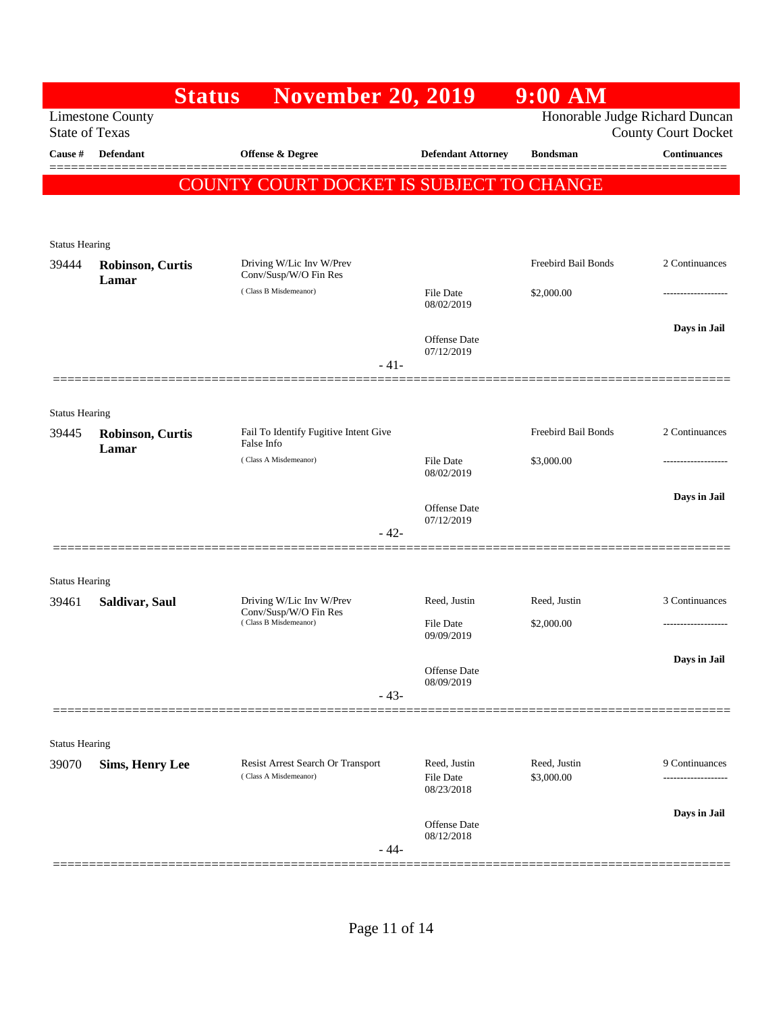|                                                  | <b>November 20, 2019</b><br><b>Status</b>                        |                                                                                       | $9:00$ AM                                                                    |                                                    |
|--------------------------------------------------|------------------------------------------------------------------|---------------------------------------------------------------------------------------|------------------------------------------------------------------------------|----------------------------------------------------|
| <b>Limestone County</b><br><b>State of Texas</b> |                                                                  |                                                                                       | Honorable Judge Richard Duncan                                               | <b>County Court Docket</b>                         |
| <b>Defendant</b>                                 | <b>Offense &amp; Degree</b>                                      | <b>Defendant Attorney</b>                                                             | <b>Bondsman</b>                                                              | <b>Continuances</b><br>========                    |
|                                                  |                                                                  |                                                                                       |                                                                              |                                                    |
|                                                  |                                                                  |                                                                                       |                                                                              |                                                    |
| <b>Status Hearing</b>                            |                                                                  |                                                                                       |                                                                              |                                                    |
| <b>Robinson, Curtis</b>                          | Driving W/Lic Inv W/Prev<br>Conv/Susp/W/O Fin Res                |                                                                                       | Freebird Bail Bonds                                                          | 2 Continuances                                     |
|                                                  | (Class B Misdemeanor)                                            | File Date<br>08/02/2019                                                               | \$2,000.00                                                                   |                                                    |
|                                                  |                                                                  |                                                                                       |                                                                              | Days in Jail                                       |
|                                                  |                                                                  | 07/12/2019                                                                            |                                                                              |                                                    |
|                                                  |                                                                  |                                                                                       |                                                                              |                                                    |
| <b>Status Hearing</b>                            |                                                                  |                                                                                       |                                                                              |                                                    |
| Robinson, Curtis                                 | Fail To Identify Fugitive Intent Give<br>False Info              |                                                                                       | Freebird Bail Bonds                                                          | 2 Continuances                                     |
|                                                  | (Class A Misdemeanor)                                            | File Date                                                                             | \$3,000.00                                                                   | ----------------                                   |
|                                                  |                                                                  |                                                                                       |                                                                              | Days in Jail                                       |
|                                                  |                                                                  | Offense Date<br>07/12/2019                                                            |                                                                              |                                                    |
|                                                  |                                                                  |                                                                                       |                                                                              |                                                    |
|                                                  |                                                                  |                                                                                       |                                                                              |                                                    |
| Saldivar, Saul                                   | Driving W/Lic Inv W/Prev                                         | Reed, Justin                                                                          | Reed, Justin                                                                 | 3 Continuances                                     |
|                                                  | (Class B Misdemeanor)                                            | <b>File Date</b>                                                                      | \$2,000.00                                                                   | -----------------                                  |
|                                                  |                                                                  |                                                                                       |                                                                              | Days in Jail                                       |
|                                                  |                                                                  | 08/09/2019                                                                            |                                                                              |                                                    |
|                                                  |                                                                  |                                                                                       |                                                                              |                                                    |
|                                                  |                                                                  |                                                                                       |                                                                              |                                                    |
| <b>Sims, Henry Lee</b>                           | Resist Arrest Search Or Transport                                | Reed, Justin                                                                          | Reed, Justin                                                                 | 9 Continuances                                     |
|                                                  |                                                                  | 08/23/2018                                                                            |                                                                              |                                                    |
|                                                  |                                                                  | Offense Date                                                                          |                                                                              | Days in Jail                                       |
|                                                  | $-44-$                                                           | 08/12/2018                                                                            |                                                                              |                                                    |
|                                                  | Lamar<br>Lamar<br><b>Status Hearing</b><br><b>Status Hearing</b> | COUNT<br>$-41-$<br>$-42-$<br>Conv/Susp/W/O Fin Res<br>$-43-$<br>(Class A Misdemeanor) | <b>Offense</b> Date<br>08/02/2019<br>09/09/2019<br>Offense Date<br>File Date | 'Y COURT DOCKET IS SUBJECT TO CHANGE<br>\$3,000.00 |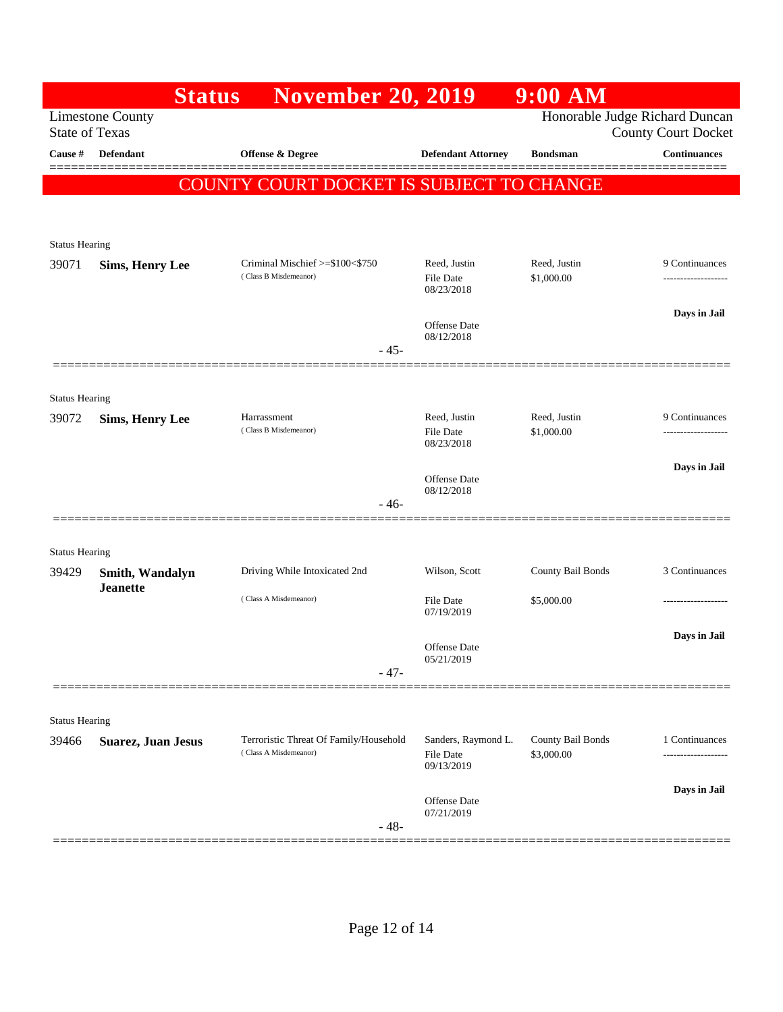|                                |                                    | <b>Status</b> | <b>November 20, 2019</b>                                        |                                   | $9:00$ AM                       |                                                              |
|--------------------------------|------------------------------------|---------------|-----------------------------------------------------------------|-----------------------------------|---------------------------------|--------------------------------------------------------------|
| <b>State of Texas</b>          | <b>Limestone County</b>            |               |                                                                 |                                   |                                 | Honorable Judge Richard Duncan<br><b>County Court Docket</b> |
| Cause #                        | <b>Defendant</b>                   |               | <b>Offense &amp; Degree</b>                                     | <b>Defendant Attorney</b>         | <b>Bondsman</b>                 | <b>Continuances</b>                                          |
|                                |                                    |               | COUNTY COURT DOCKET IS SUBJECT TO CHANGE                        |                                   |                                 |                                                              |
|                                |                                    |               |                                                                 |                                   |                                 |                                                              |
| <b>Status Hearing</b>          |                                    |               |                                                                 |                                   |                                 |                                                              |
| 39071                          | <b>Sims, Henry Lee</b>             |               | Criminal Mischief >=\$100<\$750<br>(Class B Misdemeanor)        | Reed, Justin<br><b>File Date</b>  | Reed, Justin<br>\$1,000.00      | 9 Continuances<br>-------------------                        |
|                                |                                    |               |                                                                 | 08/23/2018                        |                                 |                                                              |
|                                |                                    |               |                                                                 | Offense Date<br>08/12/2018        |                                 | Days in Jail                                                 |
|                                |                                    |               |                                                                 | $-45-$                            |                                 |                                                              |
|                                |                                    |               |                                                                 |                                   |                                 |                                                              |
| <b>Status Hearing</b><br>39072 | <b>Sims, Henry Lee</b>             |               | Harrassment                                                     | Reed, Justin                      | Reed, Justin                    | 9 Continuances                                               |
|                                |                                    |               | (Class B Misdemeanor)                                           | <b>File Date</b><br>08/23/2018    | \$1,000.00                      |                                                              |
|                                |                                    |               |                                                                 |                                   |                                 | Days in Jail                                                 |
|                                |                                    |               |                                                                 | <b>Offense Date</b><br>08/12/2018 |                                 |                                                              |
|                                |                                    |               |                                                                 | - 46-                             |                                 |                                                              |
| <b>Status Hearing</b>          |                                    |               |                                                                 |                                   |                                 |                                                              |
| 39429                          | Smith, Wandalyn<br><b>Jeanette</b> |               | Driving While Intoxicated 2nd                                   | Wilson, Scott                     | County Bail Bonds               | 3 Continuances                                               |
|                                |                                    |               | (Class A Misdemeanor)                                           | <b>File Date</b><br>07/19/2019    | \$5,000.00                      | -------------------                                          |
|                                |                                    |               |                                                                 |                                   |                                 | Days in Jail                                                 |
|                                |                                    |               |                                                                 | <b>Offense</b> Date<br>05/21/2019 |                                 |                                                              |
|                                |                                    |               |                                                                 | $-47-$                            |                                 |                                                              |
| <b>Status Hearing</b>          |                                    |               |                                                                 |                                   |                                 |                                                              |
| 39466                          | <b>Suarez, Juan Jesus</b>          |               | Terroristic Threat Of Family/Household<br>(Class A Misdemeanor) | Sanders, Raymond L.<br>File Date  | County Bail Bonds<br>\$3,000.00 | 1 Continuances                                               |
|                                |                                    |               |                                                                 | 09/13/2019                        |                                 |                                                              |
|                                |                                    |               |                                                                 | Offense Date                      |                                 | Days in Jail                                                 |
|                                |                                    |               |                                                                 | 07/21/2019<br>$-48-$              |                                 |                                                              |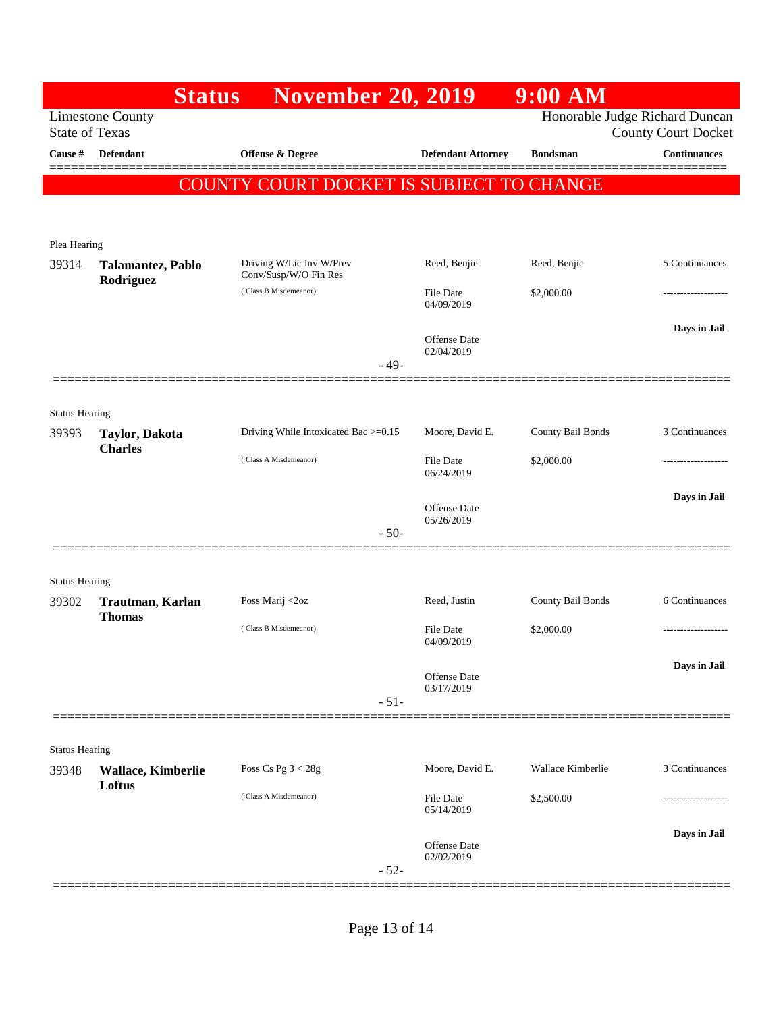|                                                                                                                  | <b>Status</b>                    | <b>November 20, 2019</b>                          |        |                                   | 9:00 AM           |                               |
|------------------------------------------------------------------------------------------------------------------|----------------------------------|---------------------------------------------------|--------|-----------------------------------|-------------------|-------------------------------|
| Honorable Judge Richard Duncan<br><b>Limestone County</b><br><b>State of Texas</b><br><b>County Court Docket</b> |                                  |                                                   |        |                                   |                   |                               |
| Cause #                                                                                                          | <b>Defendant</b>                 | Offense & Degree                                  |        | <b>Defendant Attorney</b>         | <b>Bondsman</b>   | <b>Continuances</b><br>====== |
|                                                                                                                  |                                  | COUNTY COURT DOCKET IS SUBJECT TO CHANGE          |        |                                   |                   |                               |
|                                                                                                                  |                                  |                                                   |        |                                   |                   |                               |
|                                                                                                                  |                                  |                                                   |        |                                   |                   |                               |
| Plea Hearing<br>39314                                                                                            | Talamantez, Pablo<br>Rodriguez   | Driving W/Lic Inv W/Prev<br>Conv/Susp/W/O Fin Res |        | Reed, Benjie                      | Reed, Benjie      | 5 Continuances                |
|                                                                                                                  |                                  | (Class B Misdemeanor)                             |        | File Date<br>04/09/2019           | \$2,000.00        |                               |
|                                                                                                                  |                                  |                                                   |        | Offense Date<br>02/04/2019        |                   | Days in Jail                  |
|                                                                                                                  |                                  |                                                   | $-49-$ |                                   |                   |                               |
|                                                                                                                  |                                  |                                                   |        |                                   |                   |                               |
| <b>Status Hearing</b><br>39393                                                                                   | Taylor, Dakota<br><b>Charles</b> | Driving While Intoxicated Bac >=0.15              |        | Moore, David E.                   | County Bail Bonds | 3 Continuances                |
|                                                                                                                  |                                  | (Class A Misdemeanor)                             |        | <b>File Date</b><br>06/24/2019    | \$2,000.00        | .                             |
|                                                                                                                  |                                  |                                                   |        | <b>Offense</b> Date<br>05/26/2019 |                   | Days in Jail                  |
|                                                                                                                  |                                  |                                                   | $-50-$ |                                   |                   |                               |
|                                                                                                                  |                                  |                                                   |        |                                   |                   |                               |
| <b>Status Hearing</b><br>39302                                                                                   | Trautman, Karlan                 | Poss Marij <2oz                                   |        | Reed, Justin                      | County Bail Bonds | 6 Continuances                |
|                                                                                                                  | <b>Thomas</b>                    | (Class B Misdemeanor)                             |        | <b>File Date</b><br>04/09/2019    | \$2,000.00        | .                             |
|                                                                                                                  |                                  |                                                   |        |                                   |                   | Days in Jail                  |
|                                                                                                                  |                                  |                                                   |        | Offense Date<br>03/17/2019        |                   |                               |
|                                                                                                                  |                                  |                                                   | $-51-$ |                                   |                   |                               |
| <b>Status Hearing</b>                                                                                            |                                  |                                                   |        |                                   |                   |                               |
| 39348                                                                                                            | <b>Wallace, Kimberlie</b>        | Poss Cs Pg $3 < 28g$                              |        | Moore, David E.                   | Wallace Kimberlie | 3 Continuances                |
|                                                                                                                  | Loftus                           | (Class A Misdemeanor)                             |        | File Date<br>05/14/2019           | \$2,500.00        |                               |
|                                                                                                                  |                                  |                                                   | $-52-$ | <b>Offense</b> Date<br>02/02/2019 |                   | Days in Jail                  |